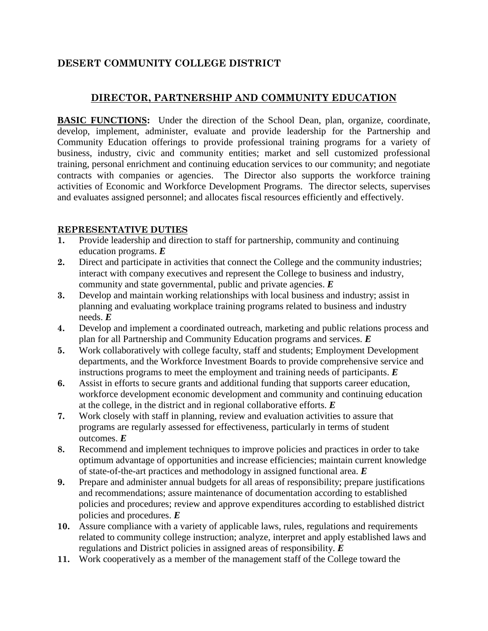# **DESERT COMMUNITY COLLEGE DISTRICT**

# **DIRECTOR, PARTNERSHIP AND COMMUNITY EDUCATION**

**BASIC FUNCTIONS:** Under the direction of the School Dean, plan, organize, coordinate, develop, implement, administer, evaluate and provide leadership for the Partnership and Community Education offerings to provide professional training programs for a variety of business, industry, civic and community entities; market and sell customized professional training, personal enrichment and continuing education services to our community; and negotiate contracts with companies or agencies. The Director also supports the workforce training activities of Economic and Workforce Development Programs. The director selects, supervises and evaluates assigned personnel; and allocates fiscal resources efficiently and effectively.

#### **REPRESENTATIVE DUTIES**

- **1.** Provide leadership and direction to staff for partnership, community and continuing education programs. *E*
- **2.** Direct and participate in activities that connect the College and the community industries; interact with company executives and represent the College to business and industry, community and state governmental, public and private agencies. *E*
- **3.** Develop and maintain working relationships with local business and industry; assist in planning and evaluating workplace training programs related to business and industry needs. *E*
- **4.** Develop and implement a coordinated outreach, marketing and public relations process and plan for all Partnership and Community Education programs and services. *E*
- **5.** Work collaboratively with college faculty, staff and students; Employment Development departments, and the Workforce Investment Boards to provide comprehensive service and instructions programs to meet the employment and training needs of participants. *E*
- **6.** Assist in efforts to secure grants and additional funding that supports career education, workforce development economic development and community and continuing education at the college, in the district and in regional collaborative efforts. *E*
- **7.** Work closely with staff in planning, review and evaluation activities to assure that programs are regularly assessed for effectiveness, particularly in terms of student outcomes. *E*
- **8.** Recommend and implement techniques to improve policies and practices in order to take optimum advantage of opportunities and increase efficiencies; maintain current knowledge of state-of-the-art practices and methodology in assigned functional area. *E*
- **9.** Prepare and administer annual budgets for all areas of responsibility; prepare justifications and recommendations; assure maintenance of documentation according to established policies and procedures; review and approve expenditures according to established district policies and procedures. *E*
- **10.** Assure compliance with a variety of applicable laws, rules, regulations and requirements related to community college instruction; analyze, interpret and apply established laws and regulations and District policies in assigned areas of responsibility. *E*
- **11.** Work cooperatively as a member of the management staff of the College toward the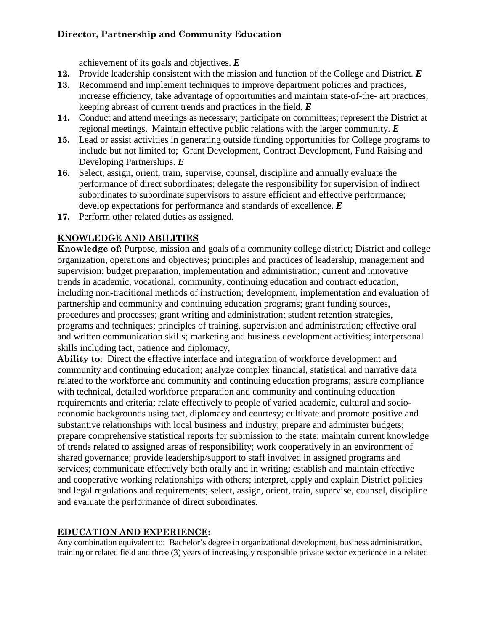### **Director, Partnership and Community Education**

achievement of its goals and objectives. *E*

- **12.** Provide leadership consistent with the mission and function of the College and District. *E*
- **13.** Recommend and implement techniques to improve department policies and practices, increase efficiency, take advantage of opportunities and maintain state-of-the- art practices, keeping abreast of current trends and practices in the field. *E*
- **14.** Conduct and attend meetings as necessary; participate on committees; represent the District at regional meetings. Maintain effective public relations with the larger community. *E*
- **15.** Lead or assist activities in generating outside funding opportunities for College programs to include but not limited to; Grant Development, Contract Development, Fund Raising and Developing Partnerships. *E*
- **16.** Select, assign, orient, train, supervise, counsel, discipline and annually evaluate the performance of direct subordinates; delegate the responsibility for supervision of indirect subordinates to subordinate supervisors to assure efficient and effective performance; develop expectations for performance and standards of excellence. *E*
- **17.** Perform other related duties as assigned.

# **KNOWLEDGE AND ABILITIES**

**Knowledge of:** Purpose, mission and goals of a community college district; District and college organization, operations and objectives; principles and practices of leadership, management and supervision; budget preparation, implementation and administration; current and innovative trends in academic, vocational, community, continuing education and contract education, including non-traditional methods of instruction; development, implementation and evaluation of partnership and community and continuing education programs; grant funding sources, procedures and processes; grant writing and administration; student retention strategies, programs and techniques; principles of training, supervision and administration; effective oral and written communication skills; marketing and business development activities; interpersonal skills including tact, patience and diplomacy,

**Ability to**: Direct the effective interface and integration of workforce development and community and continuing education; analyze complex financial, statistical and narrative data related to the workforce and community and continuing education programs; assure compliance with technical, detailed workforce preparation and community and continuing education requirements and criteria; relate effectively to people of varied academic, cultural and socioeconomic backgrounds using tact, diplomacy and courtesy; cultivate and promote positive and substantive relationships with local business and industry; prepare and administer budgets; prepare comprehensive statistical reports for submission to the state; maintain current knowledge of trends related to assigned areas of responsibility; work cooperatively in an environment of shared governance; provide leadership/support to staff involved in assigned programs and services; communicate effectively both orally and in writing; establish and maintain effective and cooperative working relationships with others; interpret, apply and explain District policies and legal regulations and requirements; select, assign, orient, train, supervise, counsel, discipline and evaluate the performance of direct subordinates.

# **EDUCATION AND EXPERIENCE:**

Any combination equivalent to: Bachelor's degree in organizational development, business administration, training or related field and three (3) years of increasingly responsible private sector experience in a related